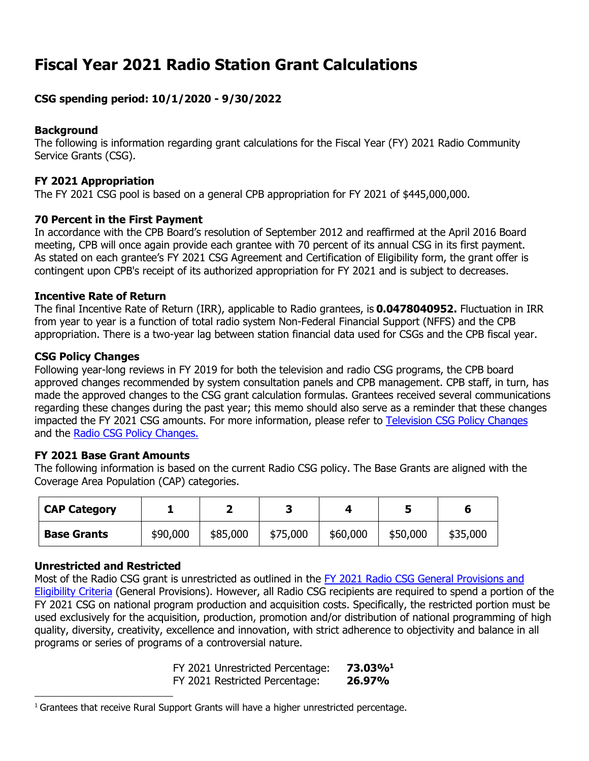# **Fiscal Year 2021 Radio Station Grant Calculations**

# **CSG spending period: 10/1/2020 - 9/30/2022**

### **Background**

The following is information regarding grant calculations for the Fiscal Year (FY) 2021 Radio Community Service Grants (CSG).

#### **FY 2021 Appropriation**

The FY 2021 CSG pool is based on a general CPB appropriation for FY 2021 of \$445,000,000.

#### **70 Percent in the First Payment**

In accordance with the CPB Board's resolution of September 2012 and reaffirmed at the April 2016 Board meeting, CPB will once again provide each grantee with 70 percent of its annual CSG in its first payment. As stated on each grantee's FY 2021 CSG Agreement and Certification of Eligibility form, the grant offer is contingent upon CPB's receipt of its authorized appropriation for FY 2021 and is subject to decreases.

#### **Incentive Rate of Return**

The final Incentive Rate of Return (IRR), applicable to Radio grantees, is **0.0478040952.** Fluctuation in IRR from year to year is a function of total radio system Non-Federal Financial Support (NFFS) and the CPB appropriation. There is a two-year lag between station financial data used for CSGs and the CPB fiscal year.

#### **CSG Policy Changes**

Following year-long reviews in FY 2019 for both the television and radio CSG programs, the CPB board approved changes recommended by system consultation panels and CPB management. CPB staff, in turn, has made the approved changes to the CSG grant calculation formulas. Grantees received several communications regarding these changes during the past year; this memo should also serve as a reminder that these changes impacted the FY 2021 CSG amounts. For more information, please refer to [Television CSG Policy Changes](https://www.cpb.org/sites/default/files/2019%20TV%20CSG%20Policy%20Recommendations.pdf)  and the [Radio CSG Policy Changes.](https://www.cpb.org/sites/default/files/2019%20Radio%20CSG%20Policy%20Recommendations.pdf)

#### **FY 2021 Base Grant Amounts**

The following information is based on the current Radio CSG policy. The Base Grants are aligned with the Coverage Area Population (CAP) categories.

| <b>CAP Category</b> |          |          |          |          |          | O        |
|---------------------|----------|----------|----------|----------|----------|----------|
| <b>Base Grants</b>  | \$90,000 | \$85,000 | \$75,000 | \$60,000 | \$50,000 | \$35,000 |

#### **Unrestricted and Restricted**

Most of the Radio CSG grant is unrestricted as outlined in the [FY 2021 Radio CSG General Provisions and](https://www.cpb.org/sites/default/files/stations/radio/generalprovisions/FY-2021-Radio-General-Provisions.pdf)  [Eligibility Criteria](https://www.cpb.org/sites/default/files/stations/radio/generalprovisions/FY-2021-Radio-General-Provisions.pdf) (General Provisions). However, all Radio CSG recipients are required to spend a portion of the FY 2021 CSG on national program production and acquisition costs. Specifically, the restricted portion must be used exclusively for the acquisition, production, promotion and/or distribution of national programming of high quality, diversity, creativity, excellence and innovation, with strict adherence to objectivity and balance in all programs or series of programs of a controversial nature.

| FY 2021 Unrestricted Percentage: | 73.03%1 |
|----------------------------------|---------|
| FY 2021 Restricted Percentage:   | 26.97%  |

 $1$  Grantees that receive Rural Support Grants will have a higher unrestricted percentage.